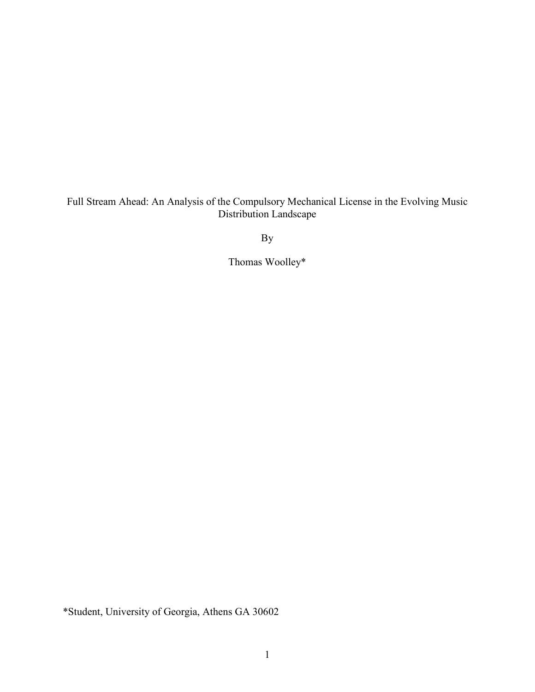Full Stream Ahead: An Analysis of the Compulsory Mechanical License in the Evolving Music Distribution Landscape

By

Thomas Woolley\*

\*Student, University of Georgia, Athens GA 30602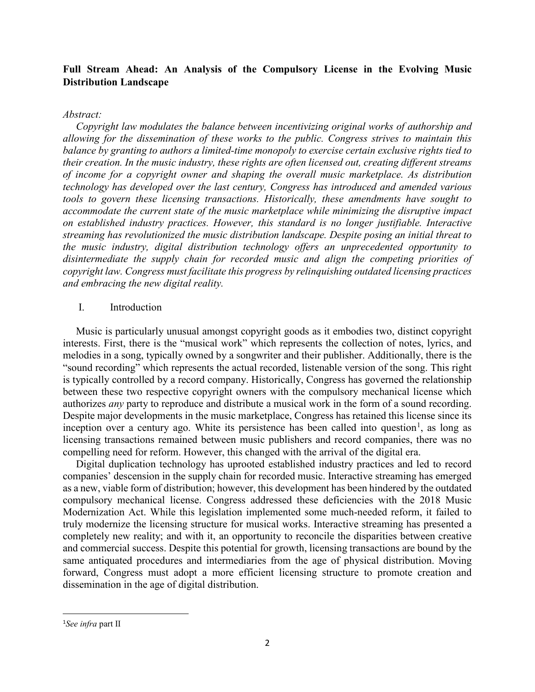# **Full Stream Ahead: An Analysis of the Compulsory License in the Evolving Music Distribution Landscape**

#### *Abstract:*

 *Copyright law modulates the balance between incentivizing original works of authorship and allowing for the dissemination of these works to the public. Congress strives to maintain this balance by granting to authors a limited-time monopoly to exercise certain exclusive rights tied to their creation. In the music industry, these rights are often licensed out, creating different streams of income for a copyright owner and shaping the overall music marketplace. As distribution technology has developed over the last century, Congress has introduced and amended various tools to govern these licensing transactions. Historically, these amendments have sought to accommodate the current state of the music marketplace while minimizing the disruptive impact on established industry practices. However, this standard is no longer justifiable. Interactive streaming has revolutionized the music distribution landscape. Despite posing an initial threat to the music industry, digital distribution technology offers an unprecedented opportunity to disintermediate the supply chain for recorded music and align the competing priorities of copyright law. Congress must facilitate this progress by relinquishing outdated licensing practices and embracing the new digital reality.*

## I. Introduction

 Music is particularly unusual amongst copyright goods as it embodies two, distinct copyright interests. First, there is the "musical work" which represents the collection of notes, lyrics, and melodies in a song, typically owned by a songwriter and their publisher. Additionally, there is the "sound recording" which represents the actual recorded, listenable version of the song. This right is typically controlled by a record company. Historically, Congress has governed the relationship between these two respective copyright owners with the compulsory mechanical license which authorizes *any* party to reproduce and distribute a musical work in the form of a sound recording. Despite major developments in the music marketplace, Congress has retained this license since its inception over a century ago. White its persistence has been called into question<sup>[1](#page-1-0)</sup>, as long as licensing transactions remained between music publishers and record companies, there was no compelling need for reform. However, this changed with the arrival of the digital era.

 Digital duplication technology has uprooted established industry practices and led to record companies' descension in the supply chain for recorded music. Interactive streaming has emerged as a new, viable form of distribution; however, this development has been hindered by the outdated compulsory mechanical license. Congress addressed these deficiencies with the 2018 Music Modernization Act. While this legislation implemented some much-needed reform, it failed to truly modernize the licensing structure for musical works. Interactive streaming has presented a completely new reality; and with it, an opportunity to reconcile the disparities between creative and commercial success. Despite this potential for growth, licensing transactions are bound by the same antiquated procedures and intermediaries from the age of physical distribution. Moving forward, Congress must adopt a more efficient licensing structure to promote creation and dissemination in the age of digital distribution.

<span id="page-1-0"></span> $\frac{1}{1}$ *See infra* part II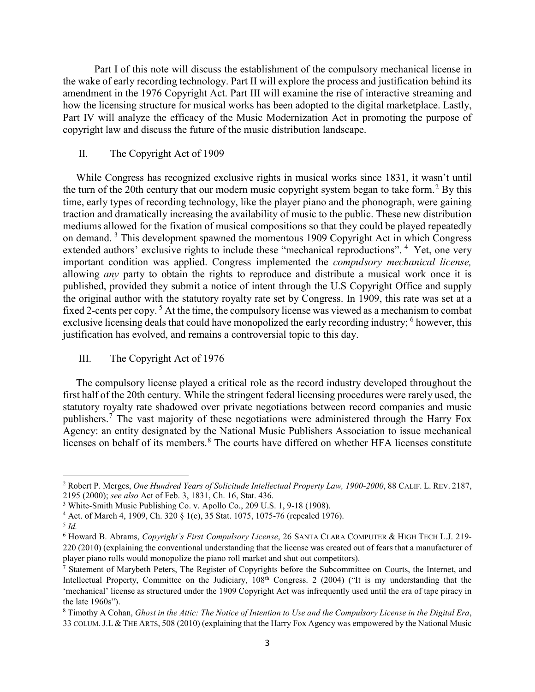Part I of this note will discuss the establishment of the compulsory mechanical license in the wake of early recording technology. Part II will explore the process and justification behind its amendment in the 1976 Copyright Act. Part III will examine the rise of interactive streaming and how the licensing structure for musical works has been adopted to the digital marketplace. Lastly, Part IV will analyze the efficacy of the Music Modernization Act in promoting the purpose of copyright law and discuss the future of the music distribution landscape.

### II. The Copyright Act of 1909

 While Congress has recognized exclusive rights in musical works since 1831, it wasn't until the turn of the [2](#page-2-0)0th century that our modern music copyright system began to take form.<sup>2</sup> By this time, early types of recording technology, like the player piano and the phonograph, were gaining traction and dramatically increasing the availability of music to the public. These new distribution mediums allowed for the fixation of musical compositions so that they could be played repeatedly on demand. [3](#page-2-1) This development spawned the momentous 1909 Copyright Act in which Congress extended authors' exclusive rights to include these "mechanical reproductions". <sup>[4](#page-2-2)</sup> Yet, one very important condition was applied. Congress implemented the *compulsory mechanical license,*  allowing *any* party to obtain the rights to reproduce and distribute a musical work once it is published, provided they submit a notice of intent through the U.S Copyright Office and supply the original author with the statutory royalty rate set by Congress. In 1909, this rate was set at a fixed 2-cents per copy.<sup>[5](#page-2-3)</sup> At the time, the compulsory license was viewed as a mechanism to combat exclusive licensing deals that could have monopolized the early recording industry; <sup>[6](#page-2-4)</sup> however, this justification has evolved, and remains a controversial topic to this day.

#### III. The Copyright Act of 1976

 The compulsory license played a critical role as the record industry developed throughout the first half of the 20th century. While the stringent federal licensing procedures were rarely used, the statutory royalty rate shadowed over private negotiations between record companies and music publishers.<sup>[7](#page-2-5)</sup> The vast majority of these negotiations were administered through the Harry Fox Agency: an entity designated by the National Music Publishers Association to issue mechanical licenses on behalf of its members. [8](#page-2-6) The courts have differed on whether HFA licenses constitute

l

<span id="page-2-0"></span><sup>2</sup> Robert P. Merges, *One Hundred Years of Solicitude Intellectual Property Law, 1900-2000*, 88 CALIF. L. REV. 2187, 2195 (2000); *see also* Act of Feb. 3, 1831, Ch. 16, Stat. 436.

<span id="page-2-1"></span><sup>&</sup>lt;sup>3</sup> White-Smith Music Publishing Co. v. Apollo Co., 209 U.S. 1, 9-18 (1908).

<span id="page-2-2"></span><sup>&</sup>lt;sup>4</sup> Act. of March 4, 1909, Ch. 320 § 1(e), 35 Stat. 1075, 1075-76 (repealed 1976).

<span id="page-2-3"></span><sup>5</sup> *Id.*

<span id="page-2-4"></span><sup>6</sup> Howard B. Abrams, *Copyright's First Compulsory License*, 26 SANTA CLARA COMPUTER & HIGH TECH L.J. 219- 220 (2010) (explaining the conventional understanding that the license was created out of fears that a manufacturer of player piano rolls would monopolize the piano roll market and shut out competitors).

<span id="page-2-5"></span> $<sup>7</sup>$  Statement of Marybeth Peters, The Register of Copyrights before the Subcommittee on Courts, the Internet, and</sup> Intellectual Property, Committee on the Judiciary, 108<sup>th</sup> Congress. 2 (2004) ("It is my understanding that the 'mechanical' license as structured under the 1909 Copyright Act was infrequently used until the era of tape piracy in the late 1960s").

<span id="page-2-6"></span><sup>8</sup> Timothy A Cohan, *Ghost in the Attic: The Notice of Intention to Use and the Compulsory License in the Digital Era*, 33 COLUM.J.L &THE ARTS, 508 (2010) (explaining that the Harry Fox Agency was empowered by the National Music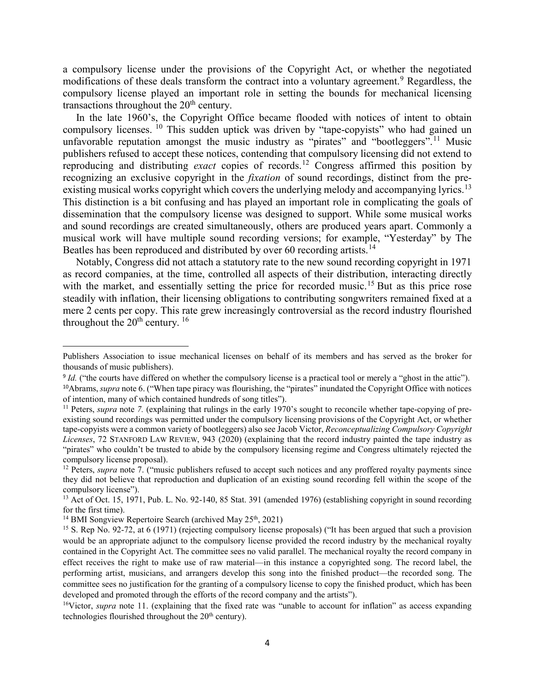a compulsory license under the provisions of the Copyright Act, or whether the negotiated modifications of these deals transform the contract into a voluntary agreement.<sup>[9](#page-3-0)</sup> Regardless, the compulsory license played an important role in setting the bounds for mechanical licensing transactions throughout the  $20<sup>th</sup>$  century.

In the late 1960's, the Copyright Office became flooded with notices of intent to obtain compulsory licenses. <sup>[10](#page-3-1)</sup> This sudden uptick was driven by "tape-copyists" who had gained un unfavorable reputation amongst the music industry as "pirates" and "bootleggers".<sup>[11](#page-3-2)</sup> Music publishers refused to accept these notices, contending that compulsory licensing did not extend to reproducing and distributing *exact* copies of records.[12](#page-3-3) Congress affirmed this position by recognizing an exclusive copyright in the *fixation* of sound recordings, distinct from the pre-existing musical works copyright which covers the underlying melody and accompanying lyrics.<sup>[13](#page-3-4)</sup> This distinction is a bit confusing and has played an important role in complicating the goals of dissemination that the compulsory license was designed to support. While some musical works and sound recordings are created simultaneously, others are produced years apart. Commonly a musical work will have multiple sound recording versions; for example, "Yesterday" by The Beatles has been reproduced and distributed by over 60 recording artists.<sup>[14](#page-3-5)</sup>

 Notably, Congress did not attach a statutory rate to the new sound recording copyright in 1971 as record companies, at the time, controlled all aspects of their distribution, interacting directly with the market, and essentially setting the price for recorded music.<sup>[15](#page-3-6)</sup> But as this price rose steadily with inflation, their licensing obligations to contributing songwriters remained fixed at a mere 2 cents per copy. This rate grew increasingly controversial as the record industry flourished throughout the  $20<sup>th</sup>$  century. <sup>[16](#page-3-7)</sup>

 $\overline{a}$ 

Publishers Association to issue mechanical licenses on behalf of its members and has served as the broker for thousands of music publishers).

<span id="page-3-0"></span><sup>&</sup>lt;sup>9</sup> *Id.* ("the courts have differed on whether the compulsory license is a practical tool or merely a "ghost in the attic").

<span id="page-3-1"></span><sup>&</sup>lt;sup>10</sup>Abrams, *supra* note 6. ("When tape piracy was flourishing, the "pirates" inundated the Copyright Office with notices of intention, many of which contained hundreds of song titles").

<span id="page-3-2"></span><sup>&</sup>lt;sup>11</sup> Peters, *supra* note 7. (explaining that rulings in the early 1970's sought to reconcile whether tape-copying of preexisting sound recordings was permitted under the compulsory licensing provisions of the Copyright Act, or whether tape-copyists were a common variety of bootleggers) also see Jacob Victor, *Reconceptualizing Compulsory Copyright Licenses*, 72 STANFORD LAW REVIEW, 943 (2020) (explaining that the record industry painted the tape industry as "pirates" who couldn't be trusted to abide by the compulsory licensing regime and Congress ultimately rejected the compulsory license proposal).

<span id="page-3-3"></span><sup>&</sup>lt;sup>12</sup> Peters, *supra* note 7. ("music publishers refused to accept such notices and any proffered royalty payments since they did not believe that reproduction and duplication of an existing sound recording fell within the scope of the compulsory license").

<span id="page-3-4"></span><sup>&</sup>lt;sup>13</sup> Act of Oct. 15, 1971, Pub. L. No. 92-140, 85 Stat. 391 (amended 1976) (establishing copyright in sound recording for the first time).

<span id="page-3-5"></span><sup>&</sup>lt;sup>14</sup> BMI Songview Repertoire Search (archived May  $25<sup>th</sup>$ , 2021)

<span id="page-3-6"></span><sup>&</sup>lt;sup>15</sup> S. Rep No. 92-72, at 6 (1971) (rejecting compulsory license proposals) ("It has been argued that such a provision would be an appropriate adjunct to the compulsory license provided the record industry by the mechanical royalty contained in the Copyright Act. The committee sees no valid parallel. The mechanical royalty the record company in effect receives the right to make use of raw material—in this instance a copyrighted song. The record label, the performing artist, musicians, and arrangers develop this song into the finished product—the recorded song. The committee sees no justification for the granting of a compulsory license to copy the finished product, which has been developed and promoted through the efforts of the record company and the artists").

<span id="page-3-7"></span><sup>&</sup>lt;sup>16</sup>Victor, *supra* note 11. (explaining that the fixed rate was "unable to account for inflation" as access expanding technologies flourished throughout the  $20<sup>th</sup>$  century).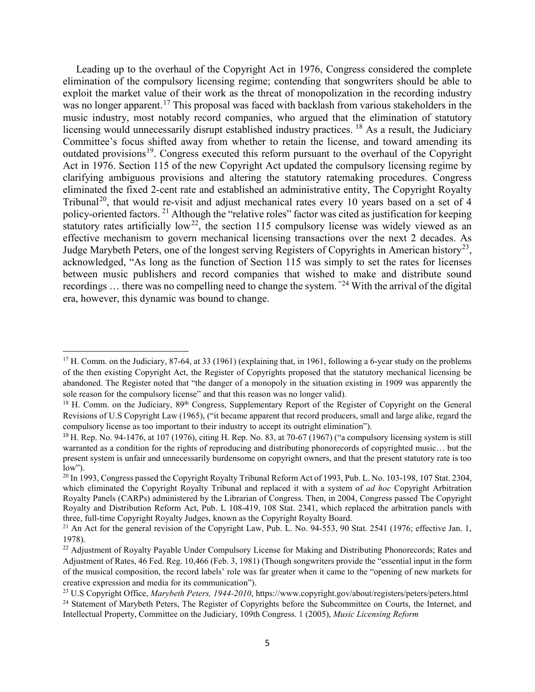Leading up to the overhaul of the Copyright Act in 1976, Congress considered the complete elimination of the compulsory licensing regime; contending that songwriters should be able to exploit the market value of their work as the threat of monopolization in the recording industry was no longer apparent.<sup>[17](#page-4-0)</sup> This proposal was faced with backlash from various stakeholders in the music industry, most notably record companies, who argued that the elimination of statutory licensing would unnecessarily disrupt established industry practices. <sup>[18](#page-4-1)</sup> As a result, the Judiciary Committee's focus shifted away from whether to retain the license, and toward amending its outdated provisions<sup>19</sup>. Congress executed this reform pursuant to the overhaul of the Copyright Act in 1976. Section 115 of the new Copyright Act updated the compulsory licensing regime by clarifying ambiguous provisions and altering the statutory ratemaking procedures. Congress eliminated the fixed 2-cent rate and established an administrative entity, The Copyright Royalty Tribunal<sup>[20](#page-4-3)</sup>, that would re-visit and adjust mechanical rates every 10 years based on a set of 4 policy-oriented factors. [21](#page-4-4) Although the "relative roles" factor was cited as justification for keeping statutory rates artificially  $low^{22}$  $low^{22}$  $low^{22}$ , the section 115 compulsory license was widely viewed as an effective mechanism to govern mechanical licensing transactions over the next 2 decades. As Judge Marybeth Peters, one of the longest serving Registers of Copyrights in American history<sup>[23](#page-4-6)</sup>, acknowledged, "As long as the function of Section 115 was simply to set the rates for licenses between music publishers and record companies that wished to make and distribute sound recordings … there was no compelling need to change the system. "[24](#page-4-7) With the arrival of the digital era, however, this dynamic was bound to change.

 $\overline{\phantom{a}}$ 

<span id="page-4-0"></span><sup>&</sup>lt;sup>17</sup> H. Comm. on the Judiciary, 87-64, at 33 (1961) (explaining that, in 1961, following a 6-year study on the problems of the then existing Copyright Act, the Register of Copyrights proposed that the statutory mechanical licensing be abandoned. The Register noted that "the danger of a monopoly in the situation existing in 1909 was apparently the sole reason for the compulsory license" and that this reason was no longer valid).

<span id="page-4-1"></span><sup>&</sup>lt;sup>18</sup> H. Comm. on the Judiciary, 89<sup>th</sup> Congress, Supplementary Report of the Register of Copyright on the General Revisions of U.S Copyright Law (1965), ("it became apparent that record producers, small and large alike, regard the compulsory license as too important to their industry to accept its outright elimination").

<span id="page-4-2"></span><sup>19</sup> H. Rep. No. 94-1476, at 107 (1976), citing H. Rep. No. 83, at 70-67 (1967) ("a compulsory licensing system is still warranted as a condition for the rights of reproducing and distributing phonorecords of copyrighted music… but the present system is unfair and unnecessarily burdensome on copyright owners, and that the present statutory rate is too  $low$ ").

<span id="page-4-3"></span><sup>&</sup>lt;sup>20</sup> In 1993, Congress passed the Copyright Royalty Tribunal Reform Act of 1993, Pub. L. No. 103-198, 107 Stat. 2304, which eliminated the Copyright Royalty Tribunal and replaced it with a system of *ad hoc* Copyright Arbitration Royalty Panels (CARPs) administered by the Librarian of Congress. Then, in 2004, Congress passed The Copyright Royalty and Distribution Reform Act, Pub. L 108-419, 108 Stat. 2341, which replaced the arbitration panels with three, full-time Copyright Royalty Judges, known as the Copyright Royalty Board.

<span id="page-4-4"></span><sup>&</sup>lt;sup>21</sup> An Act for the general revision of the Copyright Law, Pub. L. No. 94-553, 90 Stat. 2541 (1976; effective Jan. 1, 1978).

<span id="page-4-5"></span><sup>&</sup>lt;sup>22</sup> Adjustment of Royalty Payable Under Compulsory License for Making and Distributing Phonorecords; Rates and Adjustment of Rates, 46 Fed. Reg. 10,466 (Feb. 3, 1981) (Though songwriters provide the "essential input in the form of the musical composition, the record labels' role was far greater when it came to the "opening of new markets for creative expression and media for its communication").

<span id="page-4-7"></span><span id="page-4-6"></span><sup>23</sup> U.S Copyright Office, *Marybeth Peters, 1944-2010*, https://www.copyright.gov/about/registers/peters/peters.html <sup>24</sup> Statement of Marybeth Peters, The Register of Copyrights before the Subcommittee on Courts, the Internet, and Intellectual Property, Committee on the Judiciary, 109th Congress. 1 (2005), *Music Licensing Reform*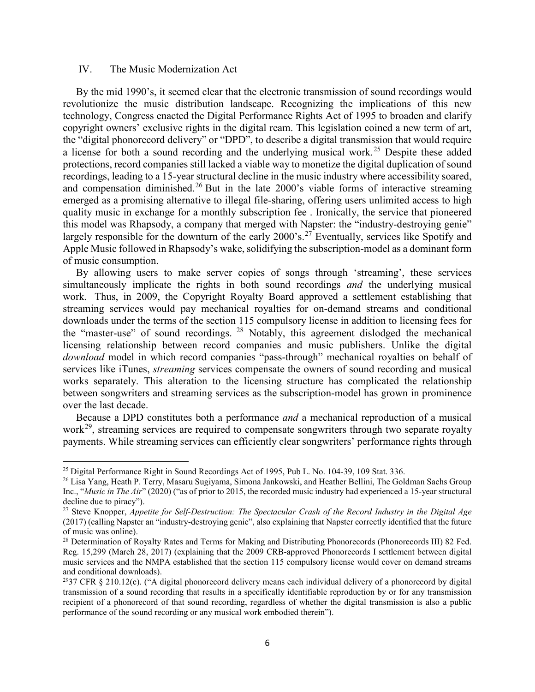#### IV. The Music Modernization Act

 By the mid 1990's, it seemed clear that the electronic transmission of sound recordings would revolutionize the music distribution landscape. Recognizing the implications of this new technology, Congress enacted the Digital Performance Rights Act of 1995 to broaden and clarify copyright owners' exclusive rights in the digital ream. This legislation coined a new term of art, the "digital phonorecord delivery" or "DPD", to describe a digital transmission that would require a license for both a sound recording and the underlying musical work.<sup>[25](#page-5-0)</sup> Despite these added protections, record companies still lacked a viable way to monetize the digital duplication of sound recordings, leading to a 15-year structural decline in the music industry where accessibility soared, and compensation diminished.<sup>[26](#page-5-1)</sup> But in the late 2000's viable forms of interactive streaming emerged as a promising alternative to illegal file-sharing, offering users unlimited access to high quality music in exchange for a monthly subscription fee . Ironically, the service that pioneered this model was Rhapsody, a company that merged with Napster: the "industry-destroying genie" largely responsible for the downturn of the early 2000's.<sup>[27](#page-5-2)</sup> Eventually, services like Spotify and Apple Music followed in Rhapsody's wake, solidifying the subscription-model as a dominant form of music consumption.

 By allowing users to make server copies of songs through 'streaming', these services simultaneously implicate the rights in both sound recordings *and* the underlying musical work. Thus, in 2009, the Copyright Royalty Board approved a settlement establishing that streaming services would pay mechanical royalties for on-demand streams and conditional downloads under the terms of the section 115 compulsory license in addition to licensing fees for the "master-use" of sound recordings. [28](#page-5-3) Notably, this agreement dislodged the mechanical licensing relationship between record companies and music publishers. Unlike the digital *download* model in which record companies "pass-through" mechanical royalties on behalf of services like iTunes, *streaming* services compensate the owners of sound recording and musical works separately. This alteration to the licensing structure has complicated the relationship between songwriters and streaming services as the subscription-model has grown in prominence over the last decade.

 Because a DPD constitutes both a performance *and* a mechanical reproduction of a musical work<sup>[29](#page-5-4)</sup>, streaming services are required to compensate songwriters through two separate royalty payments. While streaming services can efficiently clear songwriters' performance rights through

 $\overline{\phantom{a}}$ 

<span id="page-5-0"></span><sup>&</sup>lt;sup>25</sup> Digital Performance Right in Sound Recordings Act of 1995, Pub L. No. 104-39, 109 Stat. 336.

<span id="page-5-1"></span><sup>26</sup> Lisa Yang, Heath P. Terry, Masaru Sugiyama, Simona Jankowski, and Heather Bellini, The Goldman Sachs Group Inc., "*Music in The Air*" (2020) ("as of prior to 2015, the recorded music industry had experienced a 15-year structural decline due to piracy").

<span id="page-5-2"></span><sup>27</sup> Steve Knopper, *Appetite for Self-Destruction: The Spectacular Crash of the Record Industry in the Digital Age* (2017) (calling Napster an "industry-destroying genie", also explaining that Napster correctly identified that the future of music was online).

<span id="page-5-3"></span><sup>&</sup>lt;sup>28</sup> Determination of Royalty Rates and Terms for Making and Distributing Phonorecords (Phonorecords III) 82 Fed. Reg. 15,299 (March 28, 2017) (explaining that the 2009 CRB-approved Phonorecords I settlement between digital music services and the NMPA established that the section 115 compulsory license would cover on demand streams and conditional downloads).

<span id="page-5-4"></span><sup>&</sup>lt;sup>29</sup>37 CFR § 210.12(c). ("A digital phonorecord delivery means each individual delivery of a phonorecord by digital transmission of a sound recording that results in a specifically identifiable reproduction by or for any transmission recipient of a phonorecord of that sound recording, regardless of whether the digital transmission is also a public performance of the sound recording or any musical work embodied therein").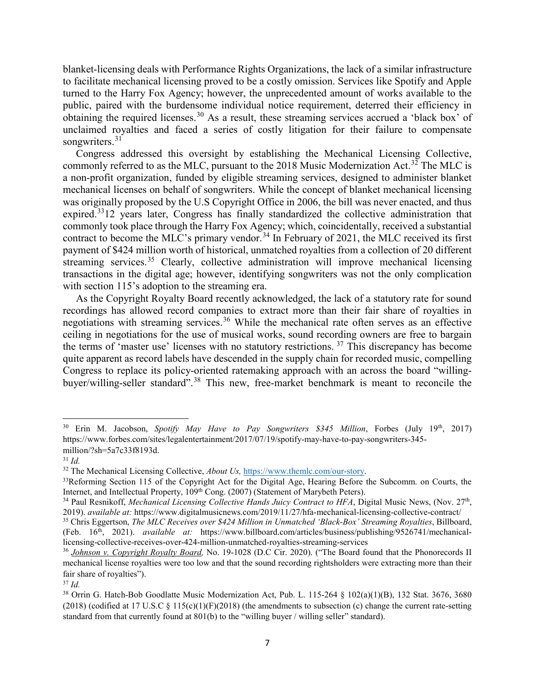blanket-licensing deals with Performance Rights Organizations, the lack of a similar infrastructure to facilitate mechanical licensing proved to be a costly omission. Services like Spotify and Apple turned to the Harry Fox Agency; however, the unprecedented amount of works available to the public, paired with the burdensome individual notice requirement, deterred their efficiency in obtaining the required licenses.<sup>[30](#page-6-0)</sup> As a result, these streaming services accrued a 'black box' of unclaimed royalties and faced a series of costly litigation for their failure to compensate songwriters.<sup>[31](#page-6-1)</sup>

 Congress addressed this oversight by establishing the Mechanical Licensing Collective, commonly referred to as the MLC, pursuant to the 2018 Music Modernization Act.<sup>[32](#page-6-2)</sup> The MLC is a non-profit organization, funded by eligible streaming services, designed to administer blanket mechanical licenses on behalf of songwriters. While the concept of blanket mechanical licensing was originally proposed by the U.S Copyright Office in 2006, the bill was never enacted, and thus expired.<sup>33</sup>12 years later, Congress has finally standardized the collective administration that commonly took place through the Harry Fox Agency; which, coincidentally, received a substantial contract to become the MLC's primary vendor.<sup>[34](#page-6-4)</sup> In February of 2021, the MLC received its first payment of \$424 million worth of historical, unmatched royalties from a collection of 20 different streaming services.<sup>[35](#page-6-5)</sup> Clearly, collective administration will improve mechanical licensing transactions in the digital age; however, identifying songwriters was not the only complication with section 115's adoption to the streaming era.

 As the Copyright Royalty Board recently acknowledged, the lack of a statutory rate for sound recordings has allowed record companies to extract more than their fair share of royalties in negotiations with streaming services.<sup>[36](#page-6-6)</sup> While the mechanical rate often serves as an effective ceiling in negotiations for the use of musical works, sound recording owners are free to bargain the terms of 'master use' licenses with no statutory restrictions. [37](#page-6-7) This discrepancy has become quite apparent as record labels have descended in the supply chain for recorded music, compelling Congress to replace its policy-oriented ratemaking approach with an across the board "willing-buyer/willing-seller standard".<sup>[38](#page-6-8)</sup> This new, free-market benchmark is meant to reconcile the

 $\overline{\phantom{a}}$ 

<span id="page-6-0"></span><sup>30</sup> Erin M. Jacobson, *Spotify May Have to Pay Songwriters \$345 Million*, Forbes (July 19th, 2017) https://www.forbes.com/sites/legalentertainment/2017/07/19/spotify-may-have-to-pay-songwriters-345 million/?sh=5a7c33f8193d.

<span id="page-6-1"></span><sup>31</sup> *Id.*

<span id="page-6-2"></span><sup>32</sup> The Mechanical Licensing Collective, *About Us,* [https://www.themlc.com/our-story.](https://www.themlc.com/our-story)

<span id="page-6-3"></span><sup>&</sup>lt;sup>33</sup>Reforming Section 115 of the Copyright Act for the Digital Age, Hearing Before the Subcomm, on Courts, the Internet, and Intellectual Property, 109<sup>th</sup> Cong. (2007) (Statement of Marybeth Peters).

<span id="page-6-4"></span><sup>&</sup>lt;sup>34</sup> Paul Resnikoff, *Mechanical Licensing Collective Hands Juicy Contract to HFA*, Digital Music News, (Nov. 27<sup>th</sup>, 2019). *available at:* https://www.digitalmusicnews.com/2019/11/27/hfa-mechanical-licensing-collective-contract/

<span id="page-6-5"></span><sup>35</sup> Chris Eggertson, *The MLC Receives over \$424 Million in Unmatched 'Black-Box' Streaming Royalties*, Billboard, (Feb. 16th, 2021). *available at:* https://www.billboard.com/articles/business/publishing/9526741/mechanicallicensing-collective-receives-over-424-million-unmatched-royalties-streaming-services

<span id="page-6-6"></span><sup>36</sup> *Johnson v. Copyright Royalty Board,* No. 19-1028 (D.C Cir. 2020). ("The Board found that the Phonorecords II mechanical license royalties were too low and that the sound recording rightsholders were extracting more than their fair share of royalties").

<span id="page-6-7"></span><sup>37</sup> *Id.*

<span id="page-6-8"></span><sup>38</sup> Orrin G. Hatch-Bob Goodlatte Music Modernization Act, Pub. L. 115-264 § 102(a)(1)(B), 132 Stat. 3676, 3680 (2018) (codified at 17 U.S.C  $\S$  115(c)(1)(F)(2018) (the amendments to subsection (c) change the current rate-setting standard from that currently found at 801(b) to the "willing buyer / willing seller" standard).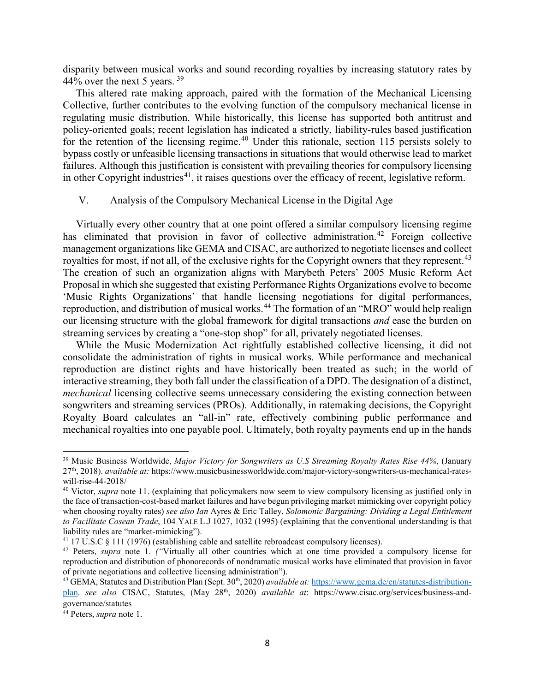disparity between musical works and sound recording royalties by increasing statutory rates by 44% over the next 5 years.  $39$ 

 This altered rate making approach, paired with the formation of the Mechanical Licensing Collective, further contributes to the evolving function of the compulsory mechanical license in regulating music distribution. While historically, this license has supported both antitrust and policy-oriented goals; recent legislation has indicated a strictly, liability-rules based justification for the retention of the licensing regime.<sup>[40](#page-7-1)</sup> Under this rationale, section 115 persists solely to bypass costly or unfeasible licensing transactions in situations that would otherwise lead to market failures. Although this justification is consistent with prevailing theories for compulsory licensing in other Copyright industries<sup>[41](#page-7-2)</sup>, it raises questions over the efficacy of recent, legislative reform.

#### V. Analysis of the Compulsory Mechanical License in the Digital Age

 Virtually every other country that at one point offered a similar compulsory licensing regime has eliminated that provision in favor of collective administration.<sup>[42](#page-7-3)</sup> Foreign collective management organizations like GEMA and CISAC, are authorized to negotiate licenses and collect royalties for most, if not all, of the exclusive rights for the Copyright owners that they represent.<sup>[43](#page-7-4)</sup> The creation of such an organization aligns with Marybeth Peters' 2005 Music Reform Act Proposal in which she suggested that existing Performance Rights Organizations evolve to become 'Music Rights Organizations' that handle licensing negotiations for digital performances, reproduction, and distribution of musical works.<sup>[44](#page-7-5)</sup> The formation of an "MRO" would help realign our licensing structure with the global framework for digital transactions *and* ease the burden on streaming services by creating a "one-stop shop" for all, privately negotiated licenses.

 While the Music Modernization Act rightfully established collective licensing, it did not consolidate the administration of rights in musical works. While performance and mechanical reproduction are distinct rights and have historically been treated as such; in the world of interactive streaming, they both fall under the classification of a DPD. The designation of a distinct, *mechanical* licensing collective seems unnecessary considering the existing connection between songwriters and streaming services (PROs). Additionally, in ratemaking decisions, the Copyright Royalty Board calculates an "all-in" rate, effectively combining public performance and mechanical royalties into one payable pool. Ultimately, both royalty payments end up in the hands

l

<span id="page-7-0"></span><sup>39</sup> Music Business Worldwide, *Major Victory for Songwriters as U.S Streaming Royalty Rates Rise 44%*, (January 27th, 2018). *available at:* https://www.musicbusinessworldwide.com/major-victory-songwriters-us-mechanical-rateswill-rise-44-2018/

<span id="page-7-1"></span><sup>40</sup> Victor, *supra* note 11. (explaining that policymakers now seem to view compulsory licensing as justified only in the face of transaction-cost-based market failures and have begun privileging market mimicking over copyright policy when choosing royalty rates) *see also Ian* Ayres & Eric Talley, *Solomonic Bargaining: Dividing a Legal Entitlement to Facilitate Cosean Trade*, 104 YALE L.J 1027, 1032 (1995) (explaining that the conventional understanding is that liability rules are "market-mimicking").

<span id="page-7-2"></span> $41$  17 U.S.C  $\S$  111 (1976) (establishing cable and satellite rebroadcast compulsory licenses).

<span id="page-7-3"></span><sup>42</sup> Peters, *supra* note 1. *("*Virtually all other countries which at one time provided a compulsory license for reproduction and distribution of phonorecords of nondramatic musical works have eliminated that provision in favor of private negotiations and collective licensing administration").

<span id="page-7-4"></span><sup>&</sup>lt;sup>43</sup> GEMA, Statutes and Distribution Plan (Sept. 30<sup>th</sup>, 2020) *available at:* [https://www.gema.de/en/statutes-distribution](https://www.gema.de/en/statutes-distribution-plan)[plan.](https://www.gema.de/en/statutes-distribution-plan) *see also* CISAC, Statutes, (May 28th, 2020) *available at*: https://www.cisac.org/services/business-andgovernance/statutes

<span id="page-7-5"></span><sup>44</sup> Peters, *supra* note 1.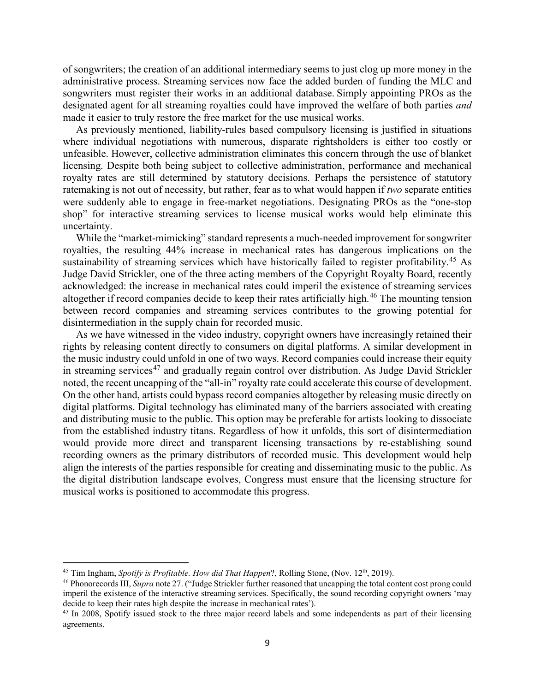of songwriters; the creation of an additional intermediary seems to just clog up more money in the administrative process. Streaming services now face the added burden of funding the MLC and songwriters must register their works in an additional database. Simply appointing PROs as the designated agent for all streaming royalties could have improved the welfare of both parties *and* made it easier to truly restore the free market for the use musical works.

 As previously mentioned, liability-rules based compulsory licensing is justified in situations where individual negotiations with numerous, disparate rightsholders is either too costly or unfeasible. However, collective administration eliminates this concern through the use of blanket licensing. Despite both being subject to collective administration, performance and mechanical royalty rates are still determined by statutory decisions. Perhaps the persistence of statutory ratemaking is not out of necessity, but rather, fear as to what would happen if *two* separate entities were suddenly able to engage in free-market negotiations. Designating PROs as the "one-stop shop" for interactive streaming services to license musical works would help eliminate this uncertainty.

 While the "market-mimicking" standard represents a much-needed improvement for songwriter royalties, the resulting 44% increase in mechanical rates has dangerous implications on the sustainability of streaming services which have historically failed to register profitability.<sup>[45](#page-8-0)</sup> As Judge David Strickler, one of the three acting members of the Copyright Royalty Board, recently acknowledged: the increase in mechanical rates could imperil the existence of streaming services altogether if record companies decide to keep their rates artificially high.<sup>[46](#page-8-1)</sup> The mounting tension between record companies and streaming services contributes to the growing potential for disintermediation in the supply chain for recorded music.

 As we have witnessed in the video industry, copyright owners have increasingly retained their rights by releasing content directly to consumers on digital platforms. A similar development in the music industry could unfold in one of two ways. Record companies could increase their equity in streaming services<sup>[47](#page-8-2)</sup> and gradually regain control over distribution. As Judge David Strickler noted, the recent uncapping of the "all-in" royalty rate could accelerate this course of development. On the other hand, artists could bypass record companies altogether by releasing music directly on digital platforms. Digital technology has eliminated many of the barriers associated with creating and distributing music to the public. This option may be preferable for artists looking to dissociate from the established industry titans. Regardless of how it unfolds, this sort of disintermediation would provide more direct and transparent licensing transactions by re-establishing sound recording owners as the primary distributors of recorded music. This development would help align the interests of the parties responsible for creating and disseminating music to the public. As the digital distribution landscape evolves, Congress must ensure that the licensing structure for musical works is positioned to accommodate this progress.

l

<span id="page-8-0"></span><sup>&</sup>lt;sup>45</sup> Tim Ingham, *Spotify is Profitable. How did That Happen*?, Rolling Stone, (Nov.  $12<sup>th</sup>$ , 2019).

<span id="page-8-1"></span><sup>46</sup> Phonorecords III, *Supra* note 27. ("Judge Strickler further reasoned that uncapping the total content cost prong could imperil the existence of the interactive streaming services. Specifically, the sound recording copyright owners 'may decide to keep their rates high despite the increase in mechanical rates').

<span id="page-8-2"></span><sup>&</sup>lt;sup>47</sup> In 2008, Spotify issued stock to the three major record labels and some independents as part of their licensing agreements.